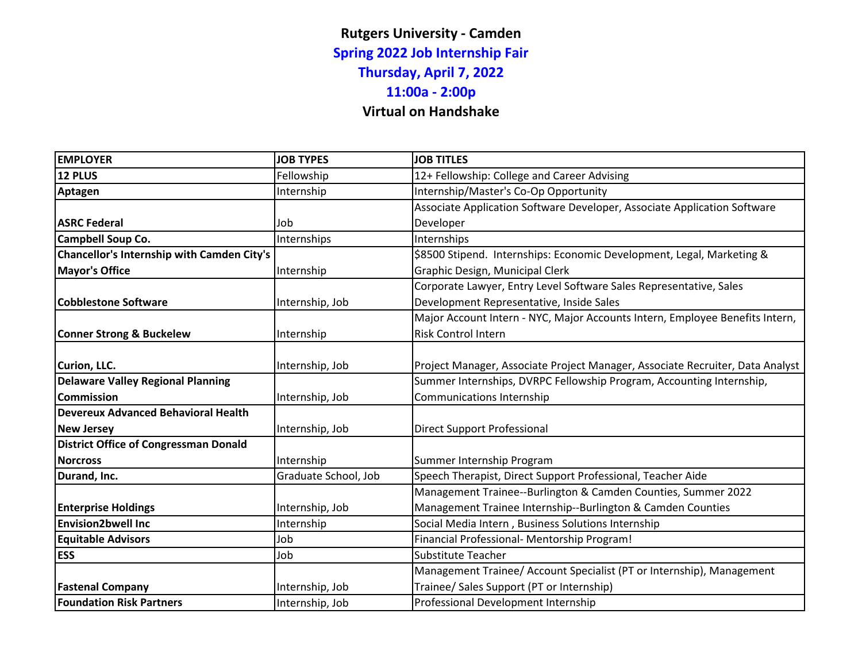## **Rutgers University - Camden Spring 2022 Job Internship Fair Thursday, April 7, 2022 11:00a - 2:00p Virtual on Handshake**

| <b>EMPLOYER</b>                                   | <b>JOB TYPES</b>     | <b>JOB TITLES</b>                                                             |
|---------------------------------------------------|----------------------|-------------------------------------------------------------------------------|
| 12 PLUS                                           | Fellowship           | 12+ Fellowship: College and Career Advising                                   |
| <b>Aptagen</b>                                    | Internship           | Internship/Master's Co-Op Opportunity                                         |
|                                                   |                      | Associate Application Software Developer, Associate Application Software      |
| <b>ASRC Federal</b>                               | Job                  | Developer                                                                     |
| Campbell Soup Co.                                 | Internships          | Internships                                                                   |
| <b>Chancellor's Internship with Camden City's</b> |                      | \$8500 Stipend. Internships: Economic Development, Legal, Marketing &         |
| <b>Mayor's Office</b>                             | Internship           | Graphic Design, Municipal Clerk                                               |
|                                                   |                      | Corporate Lawyer, Entry Level Software Sales Representative, Sales            |
| <b>Cobblestone Software</b>                       | Internship, Job      | Development Representative, Inside Sales                                      |
|                                                   |                      | Major Account Intern - NYC, Major Accounts Intern, Employee Benefits Intern,  |
| <b>Conner Strong &amp; Buckelew</b>               | Internship           | <b>Risk Control Intern</b>                                                    |
|                                                   |                      |                                                                               |
| Curion, LLC.                                      | Internship, Job      | Project Manager, Associate Project Manager, Associate Recruiter, Data Analyst |
| <b>Delaware Valley Regional Planning</b>          |                      | Summer Internships, DVRPC Fellowship Program, Accounting Internship,          |
| <b>Commission</b>                                 | Internship, Job      | <b>Communications Internship</b>                                              |
| <b>Devereux Advanced Behavioral Health</b>        |                      |                                                                               |
| <b>New Jersey</b>                                 | Internship, Job      | <b>Direct Support Professional</b>                                            |
| <b>District Office of Congressman Donald</b>      |                      |                                                                               |
| <b>Norcross</b>                                   | Internship           | Summer Internship Program                                                     |
| Durand, Inc.                                      | Graduate School, Job | Speech Therapist, Direct Support Professional, Teacher Aide                   |
|                                                   |                      | Management Trainee--Burlington & Camden Counties, Summer 2022                 |
| <b>Enterprise Holdings</b>                        | Internship, Job      | Management Trainee Internship--Burlington & Camden Counties                   |
| <b>Envision2bwell Inc</b>                         | Internship           | Social Media Intern, Business Solutions Internship                            |
| <b>Equitable Advisors</b>                         | Job                  | Financial Professional- Mentorship Program!                                   |
| <b>ESS</b>                                        | Job                  | <b>Substitute Teacher</b>                                                     |
|                                                   |                      | Management Trainee/ Account Specialist (PT or Internship), Management         |
| <b>Fastenal Company</b>                           | Internship, Job      | Trainee/ Sales Support (PT or Internship)                                     |
| <b>Foundation Risk Partners</b>                   | Internship, Job      | Professional Development Internship                                           |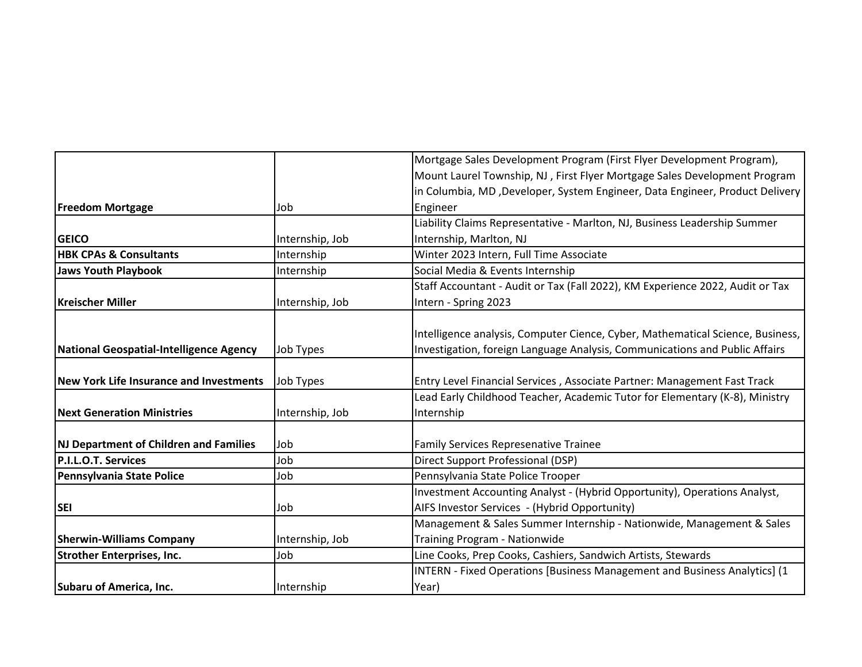|                                                |                 | Mortgage Sales Development Program (First Flyer Development Program),          |
|------------------------------------------------|-----------------|--------------------------------------------------------------------------------|
|                                                |                 | Mount Laurel Township, NJ, First Flyer Mortgage Sales Development Program      |
|                                                |                 | in Columbia, MD, Developer, System Engineer, Data Engineer, Product Delivery   |
| <b>Freedom Mortgage</b>                        | Job             | Engineer                                                                       |
|                                                |                 | Liability Claims Representative - Marlton, NJ, Business Leadership Summer      |
| <b>GEICO</b>                                   | Internship, Job | Internship, Marlton, NJ                                                        |
| <b>HBK CPAs &amp; Consultants</b>              | Internship      | Winter 2023 Intern, Full Time Associate                                        |
| <b>Jaws Youth Playbook</b>                     | Internship      | Social Media & Events Internship                                               |
|                                                |                 | Staff Accountant - Audit or Tax (Fall 2022), KM Experience 2022, Audit or Tax  |
| <b>Kreischer Miller</b>                        | Internship, Job | Intern - Spring 2023                                                           |
|                                                |                 |                                                                                |
|                                                |                 | Intelligence analysis, Computer Cience, Cyber, Mathematical Science, Business, |
| National Geospatial-Intelligence Agency        | Job Types       | Investigation, foreign Language Analysis, Communications and Public Affairs    |
|                                                |                 |                                                                                |
| <b>New York Life Insurance and Investments</b> | Job Types       | Entry Level Financial Services, Associate Partner: Management Fast Track       |
|                                                |                 | Lead Early Childhood Teacher, Academic Tutor for Elementary (K-8), Ministry    |
| <b>Next Generation Ministries</b>              | Internship, Job | Internship                                                                     |
|                                                |                 |                                                                                |
| <b>NJ Department of Children and Families</b>  | Job             | <b>Family Services Represenative Trainee</b>                                   |
| P.I.L.O.T. Services                            | Job             | Direct Support Professional (DSP)                                              |
| Pennsylvania State Police                      | Job             | Pennsylvania State Police Trooper                                              |
|                                                |                 | Investment Accounting Analyst - (Hybrid Opportunity), Operations Analyst,      |
| <b>SEI</b>                                     | Job             | AIFS Investor Services - (Hybrid Opportunity)                                  |
|                                                |                 | Management & Sales Summer Internship - Nationwide, Management & Sales          |
| <b>Sherwin-Williams Company</b>                | Internship, Job | Training Program - Nationwide                                                  |
| <b>Strother Enterprises, Inc.</b>              | Job             | Line Cooks, Prep Cooks, Cashiers, Sandwich Artists, Stewards                   |
|                                                |                 | INTERN - Fixed Operations [Business Management and Business Analytics] (1      |
| <b>Subaru of America, Inc.</b>                 | Internship      | Year)                                                                          |